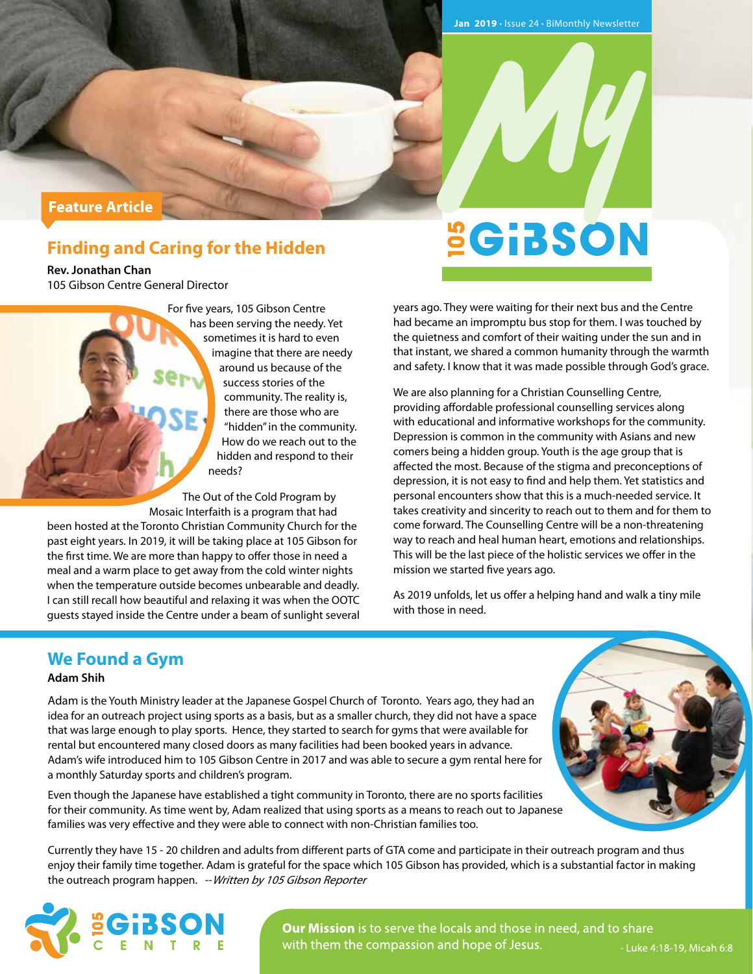## **Feature Article**

# **Finding and Caring for the Hidden**

**Rev. Jonathan Chan** 105 Gibson Centre General Director

> For five years, 105 Gibson Centre has been serving the needy. Yet sometimes it is hard to even imagine that there are needy around us because of the success stories of the community. The reality is, there are those who are "hidden" in the community. How do we reach out to the hidden and respond to their needs?

The Out of the Cold Program by Mosaic Interfaith is a program that had been hosted at the Toronto Christian Community Church for the

past eight years. In 2019, it will be taking place at 105 Gibson for the first time. We are more than happy to offer those in need a meal and a warm place to get away from the cold winter nights when the temperature outside becomes unbearable and deadly. I can still recall how beautiful and relaxing it was when the OOTC guests stayed inside the Centre under a beam of sunlight several **SGIBSON** 

years ago. They were waiting for their next bus and the Centre had became an impromptu bus stop for them. I was touched by the quietness and comfort of their waiting under the sun and in that instant, we shared a common humanity through the warmth and safety. I know that it was made possible through God's grace.

We are also planning for a Christian Counselling Centre, providing affordable professional counselling services along with educational and informative workshops for the community. Depression is common in the community with Asians and new comers being a hidden group. Youth is the age group that is affected the most. Because of the stigma and preconceptions of depression, it is not easy to find and help them. Yet statistics and personal encounters show that this is a much-needed service. It takes creativity and sincerity to reach out to them and for them to come forward. The Counselling Centre will be a non-threatening way to reach and heal human heart, emotions and relationships. This will be the last piece of the holistic services we offer in the mission we started five years ago.

As 2019 unfolds, let us offer a helping hand and walk a tiny mile with those in need.

# **We Found a Gym**

## **Adam Shih**

Adam is the Youth Ministry leader at the Japanese Gospel Church of Toronto. Years ago, they had an idea for an outreach project using sports as a basis, but as a smaller church, they did not have a space that was large enough to play sports. Hence, they started to search for gyms that were available for rental but encountered many closed doors as many facilities had been booked years in advance. Adam's wife introduced him to 105 Gibson Centre in 2017 and was able to secure a gym rental here for a monthly Saturday sports and children's program.

Even though the Japanese have established a tight community in Toronto, there are no sports facilities for their community. As time went by, Adam realized that using sports as a means to reach out to Japanese families was very effective and they were able to connect with non-Christian families too.

Currently they have 15 - 20 children and adults from different parts of GTA come and participate in their outreach program and thus enjoy their family time together. Adam is grateful for the space which 105 Gibson has provided, which is a substantial factor in making the outreach program happen. -- Written by 105 Gibson Reporter



**Our Mission** is to serve the locals and those in need, and to share with them the compassion and hope of Jesus.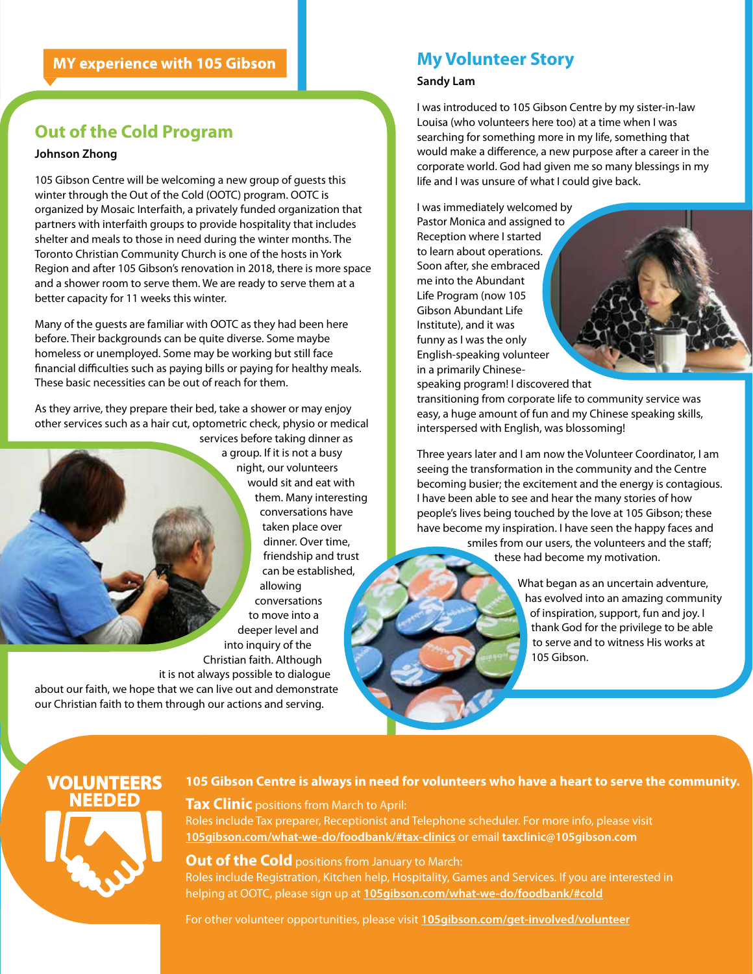# **Out of the Cold Program**

### **Johnson Zhong**

105 Gibson Centre will be welcoming a new group of guests this winter through the Out of the Cold (OOTC) program. OOTC is organized by Mosaic Interfaith, a privately funded organization that partners with interfaith groups to provide hospitality that includes shelter and meals to those in need during the winter months. The Toronto Christian Community Church is one of the hosts in York Region and after 105 Gibson's renovation in 2018, there is more space and a shower room to serve them. We are ready to serve them at a better capacity for 11 weeks this winter.

Many of the guests are familiar with OOTC as they had been here before. Their backgrounds can be quite diverse. Some maybe homeless or unemployed. Some may be working but still face financial difficulties such as paying bills or paying for healthy meals. These basic necessities can be out of reach for them.

As they arrive, they prepare their bed, take a shower or may enjoy other services such as a hair cut, optometric check, physio or medical

services before taking dinner as a group. If it is not a busy night, our volunteers would sit and eat with them. Many interesting conversations have taken place over dinner. Over time, friendship and trust can be established, allowing conversations to move into a deeper level and into inquiry of the Christian faith. Although

it is not always possible to dialogue

about our faith, we hope that we can live out and demonstrate our Christian faith to them through our actions and serving.

# **My Volunteer Story**

#### **Sandy Lam**

I was introduced to 105 Gibson Centre by my sister-in-law Louisa (who volunteers here too) at a time when I was searching for something more in my life, something that would make a difference, a new purpose after a career in the corporate world. God had given me so many blessings in my life and I was unsure of what I could give back.

I was immediately welcomed by Pastor Monica and assigned to Reception where I started to learn about operations. Soon after, she embraced me into the Abundant Life Program (now 105 Gibson Abundant Life Institute), and it was funny as I was the only English-speaking volunteer in a primarily Chinese-

speaking program! I discovered that transitioning from corporate life to community service was easy, a huge amount of fun and my Chinese speaking skills, interspersed with English, was blossoming!

Three years later and I am now the Volunteer Coordinator, I am seeing the transformation in the community and the Centre becoming busier; the excitement and the energy is contagious. I have been able to see and hear the many stories of how people's lives being touched by the love at 105 Gibson; these have become my inspiration. I have seen the happy faces and smiles from our users, the volunteers and the staff;

these had become my motivation.

What began as an uncertain adventure, has evolved into an amazing community of inspiration, support, fun and joy. I thank God for the privilege to be able to serve and to witness His works at 105 Gibson.

# VOLUNTEERS EEDED



## **105 Gibson Centre is always in need for volunteers who have a heart to serve the community.**

**Tax Clinic** positions from March to April:

Roles include Tax preparer, Receptionist and Telephone scheduler. For more info, please visit **105gibson.com/what-we-do/foodbank/#tax-clinics** or email **taxclinic@105gibson.com**

**Out of the Cold** positions from January to March: Roles include Registration, Kitchen help, Hospitality, Games and Services. If you are interested in helping at OOTC, please sign up at **105gibson.com/what-we-do/foodbank/#cold**

For other volunteer opportunities, please visit **105gibson.com/get-involved/volunteer**